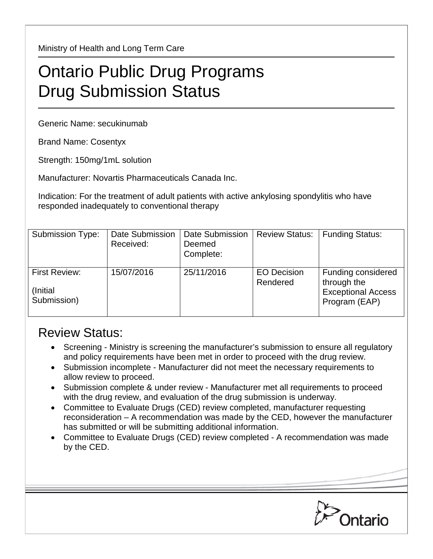Ministry of Health and Long Term Care

## Ontario Public Drug Programs Drug Submission Status

Generic Name: secukinumab

Brand Name: Cosentyx

Strength: 150mg/1mL solution

Manufacturer: Novartis Pharmaceuticals Canada Inc.

Indication: For the treatment of adult patients with active ankylosing spondylitis who have responded inadequately to conventional therapy

| <b>Submission Type:</b>                          | <b>Date Submission</b><br>Received: | Date Submission<br>Deemed<br>Complete: | <b>Review Status:</b>          | <b>Funding Status:</b>                                                          |
|--------------------------------------------------|-------------------------------------|----------------------------------------|--------------------------------|---------------------------------------------------------------------------------|
| <b>First Review:</b><br>(Initial)<br>Submission) | 15/07/2016                          | 25/11/2016                             | <b>EO Decision</b><br>Rendered | Funding considered<br>through the<br><b>Exceptional Access</b><br>Program (EAP) |

## Review Status:

- Screening Ministry is screening the manufacturer's submission to ensure all regulatory and policy requirements have been met in order to proceed with the drug review.
- Submission incomplete Manufacturer did not meet the necessary requirements to allow review to proceed.
- Submission complete & under review Manufacturer met all requirements to proceed with the drug review, and evaluation of the drug submission is underway.
- Committee to Evaluate Drugs (CED) review completed, manufacturer requesting reconsideration – A recommendation was made by the CED, however the manufacturer has submitted or will be submitting additional information.
- Committee to Evaluate Drugs (CED) review completed A recommendation was made by the CED.